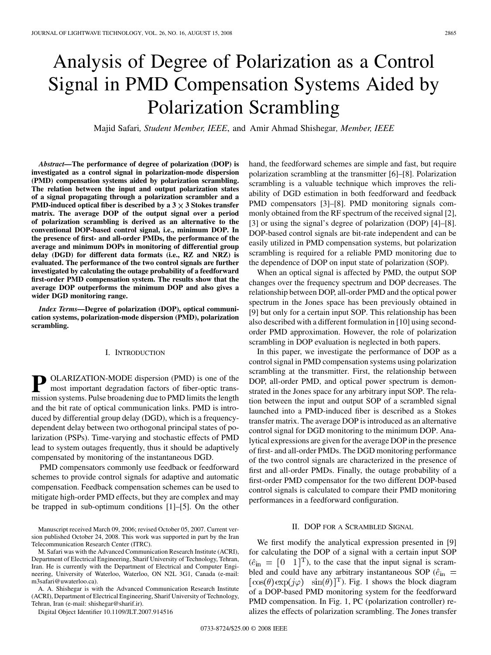# Analysis of Degree of Polarization as a Control Signal in PMD Compensation Systems Aided by Polarization Scrambling

Majid Safari*, Student Member, IEEE*, and Amir Ahmad Shishegar*, Member, IEEE*

*Abstract—***The performance of degree of polarization (DOP) is investigated as a control signal in polarization-mode dispersion (PMD) compensation systems aided by polarization scrambling. The relation between the input and output polarization states of a signal propagating through a polarization scrambler and a PMD-induced optical fiber is described by a**  $3 \times 3$  **Stokes transfer matrix. The average DOP of the output signal over a period of polarization scrambling is derived as an alternative to the conventional DOP-based control signal, i.e., minimum DOP. In the presence of first- and all-order PMDs, the performance of the average and minimum DOPs in monitoring of differential group delay (DGD) for different data formats (i.e., RZ and NRZ) is evaluated. The performance of the two control signals are further investigated by calculating the outage probability of a feedforward first-order PMD compensation system. The results show that the average DOP outperforms the minimum DOP and also gives a wider DGD monitoring range.**

*Index Terms—***Degree of polarization (DOP), optical communication systems, polarization-mode dispersion (PMD), polarization scrambling.**

#### I. INTRODUCTION

**P** OLARIZATION-MODE dispersion (PMD) is one of the most important degradation factors of fiber-optic transmission systems. Pulse broadening due to PMD limits the length and the bit rate of optical communication links. PMD is introduced by differential group delay (DGD), which is a frequencydependent delay between two orthogonal principal states of polarization (PSPs). Time-varying and stochastic effects of PMD lead to system outages frequently, thus it should be adaptively compensated by monitoring of the instantaneous DGD.

PMD compensators commonly use feedback or feedforward schemes to provide control signals for adaptive and automatic compensation. Feedback compensation schemes can be used to mitigate high-order PMD effects, but they are complex and may be trapped in sub-optimum conditions [1]–[5]. On the other

A. A. Shishegar is with the Advanced Communication Research Institute (ACRI), Department of Electrical Engineering, Sharif University of Technology, Tehran, Iran (e-mail: shishegar@sharif.ir).

Digital Object Identifier 10.1109/JLT.2007.914516

hand, the feedforward schemes are simple and fast, but require polarization scrambling at the transmitter [6]–[8]. Polarization scrambling is a valuable technique which improves the reliability of DGD estimation in both feedforward and feedback PMD compensators [3]–[8]. PMD monitoring signals commonly obtained from the RF spectrum of the received signal [2], [3] or using the signal's degree of polarization (DOP) [4]–[8]. DOP-based control signals are bit-rate independent and can be easily utilized in PMD compensation systems, but polarization scrambling is required for a reliable PMD monitoring due to the dependence of DOP on input state of polarization (SOP).

When an optical signal is affected by PMD, the output SOP changes over the frequency spectrum and DOP decreases. The relationship between DOP, all-order PMD and the optical power spectrum in the Jones space has been previously obtained in [9] but only for a certain input SOP. This relationship has been also described with a different formulation in [10] using secondorder PMD approximation. However, the role of polarization scrambling in DOP evaluation is neglected in both papers.

In this paper, we investigate the performance of DOP as a control signal in PMD compensation systems using polarization scrambling at the transmitter. First, the relationship between DOP, all-order PMD, and optical power spectrum is demonstrated in the Jones space for any arbitrary input SOP. The relation between the input and output SOP of a scrambled signal launched into a PMD-induced fiber is described as a Stokes transfer matrix. The average DOP is introduced as an alternative control signal for DGD monitoring to the minimum DOP. Analytical expressions are given for the average DOP in the presence of first- and all-order PMDs. The DGD monitoring performance of the two control signals are characterized in the presence of first and all-order PMDs. Finally, the outage probability of a first-order PMD compensator for the two different DOP-based control signals is calculated to compare their PMD monitoring performances in a feedforward configuration.

#### II. DOP FOR A SCRAMBLED SIGNAL

We first modify the analytical expression presented in [9] for calculating the DOP of a signal with a certain input SOP  $(\hat{e}_{\text{in}} = [0 \ 1]^T)$ , to the case that the input signal is scrambled and could have any arbitrary instantaneous SOP ( $\hat{e}_{\text{in}}$  =  $\left[\cos(\theta) \exp(j\varphi) \quad \sin(\theta)\right]^{T}$ . Fig. 1 shows the block diagram of a DOP-based PMD monitoring system for the feedforward PMD compensation. In Fig. 1, PC (polarization controller) realizes the effects of polarization scrambling. The Jones transfer

Manuscript received March 09, 2006; revised October 05, 2007. Current version published October 24, 2008. This work was supported in part by the Iran Telecommunication Research Center (ITRC).

M. Safari was with the Advanced Communication Research Institute (ACRI), Department of Electrical Engineering, Sharif University of Technology, Tehran, Iran. He is currently with the Department of Electrical and Computer Engineering, University of Waterloo, Waterloo, ON N2L 3G1, Canada (e-mail: m3safari@uwaterloo.ca).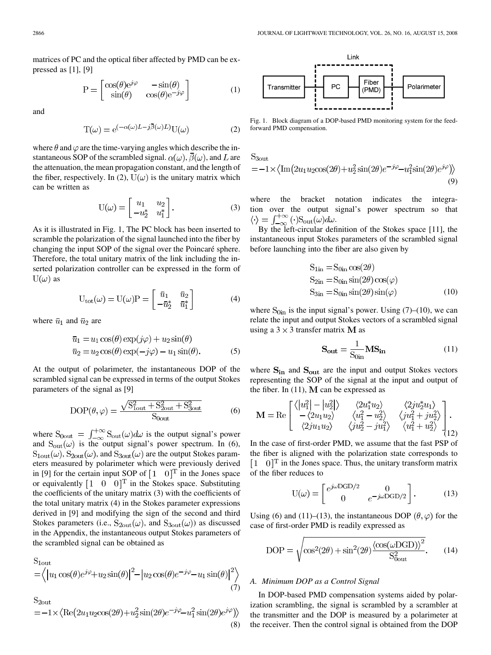matrices of PC and the optical fiber affected by PMD can be expressed as [1], [9]

$$
P = \begin{bmatrix} \cos(\theta)e^{j\varphi} & -\sin(\theta) \\ \sin(\theta) & \cos(\theta)e^{-j\varphi} \end{bmatrix}
$$
 (1)

and

$$
T(\omega) = e^{(-\alpha(\omega)L - j\overline{\beta}(\omega)L)}U(\omega)
$$
 (2)

where  $\theta$  and  $\varphi$  are the time-varying angles which describe the instantaneous SOP of the scrambled signal.  $\alpha(\omega)$ ,  $\beta(\omega)$ , and L are the attenuation, the mean propagation constant, and the length of the fiber, respectively. In (2),  $U(\omega)$  is the unitary matrix which can be written as

$$
U(\omega) = \begin{bmatrix} u_1 & u_2 \\ -u_2^* & u_1^* \end{bmatrix}.
$$
 (3)

As it is illustrated in Fig. 1, The PC block has been inserted to scramble the polarization of the signal launched into the fiber by changing the input SOP of the signal over the Poincaré sphere. Therefore, the total unitary matrix of the link including the inserted polarization controller can be expressed in the form of  $U(\omega)$  as

$$
U_{\text{tot}}(\omega) = U(\omega)P = \begin{bmatrix} \bar{u}_1 & \bar{u}_2 \\ -\bar{u}_2^* & \bar{u}_1^* \end{bmatrix}
$$
 (4)

where  $\bar{u}_1$  and  $\bar{u}_2$  are

$$
\bar{u}_1 = u_1 \cos(\theta) \exp(j\varphi) + u_2 \sin(\theta)
$$
  
\n
$$
\bar{u}_2 = u_2 \cos(\theta) \exp(-j\varphi) - u_1 \sin(\theta).
$$
 (5)

At the output of polarimeter, the instantaneous DOP of the scrambled signal can be expressed in terms of the output Stokes parameters of the signal as [9]

$$
DOP(\theta, \varphi) = \frac{\sqrt{S_{1out}^2 + S_{2out}^2 + S_{3out}^2}}{S_{0out}}
$$
 (6)

where  $S_{0out} = \int_{-\infty}^{+\infty} S_{out}(\omega) d\omega$  is the output signal's power and  $S_{out}(\omega)$  is the output signal's power spectrum. In (6),  $S_{\text{1out}}(\omega)$ ,  $S_{\text{2out}}(\omega)$ , and  $S_{\text{3out}}(\omega)$  are the output Stokes parameters measured by polarimeter which were previously derived in [9] for the certain input SOP of  $\begin{bmatrix} 1 \\ 0 \end{bmatrix}^T$  in the Jones space or equivalently  $\begin{bmatrix} 1 & 0 & 0 \end{bmatrix}^T$  in the Stokes space. Substituting the coefficients of the unitary matrix (3) with the coefficients of the total unitary matrix (4) in the Stokes parameter expressions derived in [9] and modifying the sign of the second and third Stokes parameters (i.e.,  $S_{2out}(\omega)$ , and  $S_{3out}(\omega)$ ) as discussed in the Appendix, the instantaneous output Stokes parameters of the scrambled signal can be obtained as

$$
S_{1\text{out}} = \langle |u_1 \cos(\theta)e^{j\varphi} + u_2 \sin(\theta)|^2 - |u_2 \cos(\theta)e^{-j\varphi} - u_1 \sin(\theta)|^2 \rangle
$$
\n(7)

$$
S_{2out} = -1 \times \langle \text{Re}(2u_1 u_2 \cos(2\theta) + u_2^2 \sin(2\theta) e^{-j\varphi} - u_1^2 \sin(2\theta) e^{j\varphi} \rangle \rangle
$$
\n(8)



Fig. 1. Block diagram of a DOP-based PMD monitoring system for the feedforward PMD compensation.

 $S_{3out}$ 

$$
=-1 \times \langle \text{Im}(2u_1 u_2 \cos(2\theta) + u_2^2 \sin(2\theta) e^{-j\varphi} - u_1^2 \sin(2\theta) e^{j\varphi} \rangle \rangle
$$
\n(9)

where the bracket notation indicates the integration over the output signal's power spectrum so that  $\langle \cdot \rangle = \int_{-\infty}^{+\infty} (\cdot) S_{\text{out}}(\omega) d\omega.$ 

By the left-circular definition of the Stokes space [11], the instantaneous input Stokes parameters of the scrambled signal before launching into the fiber are also given by

$$
S_{1in} = S_{0in} \cos(2\theta)
$$
  
\n
$$
S_{2in} = S_{0in} \sin(2\theta) \cos(\varphi)
$$
  
\n
$$
S_{3in} = S_{0in} \sin(2\theta) \sin(\varphi)
$$
 (10)

where  $S_{0in}$  is the input signal's power. Using (7)–(10), we can relate the input and output Stokes vectors of a scrambled signal using a  $3 \times 3$  transfer matrix M as

$$
S_{out} = \frac{1}{S_{0in}} MS_{in}
$$
 (11)

where  $S_{in}$  and  $S_{out}$  are the input and output Stokes vectors representing the SOP of the signal at the input and output of the fiber. In  $(11)$ , M can be expressed as

$$
\mathbf{M} = \text{Re}\begin{bmatrix} \langle |u_1^2| - |u_2^2| \rangle & \langle 2u_1^* u_2 \rangle & \langle 2ju_2^* u_1 \rangle \\ -\langle 2u_1 u_2 \rangle & \langle u_1^2 - u_2^2 \rangle & \langle ju_1^2 + ju_2^2 \rangle \\ \langle 2ju_1 u_2 \rangle & \langle ju_2^2 - ju_1^2 \rangle & \langle u_1^2 + u_2^2 \rangle \end{bmatrix}.
$$
\n(12)

In the case of first-order PMD, we assume that the fast PSP of the fiber is aligned with the polarization state corresponds to  $[1 \ 0]^T$  in the Jones space. Thus, the unitary transform matrix of the fiber reduces to

$$
U(\omega) = \begin{bmatrix} e^{j\omega DGD/2} & 0\\ 0 & e^{-j\omega DGD/2} \end{bmatrix}.
$$
 (13)

Using (6) and (11)–(13), the instantaneous DOP  $(\theta, \varphi)$  for the case of first-order PMD is readily expressed as

$$
DOP = \sqrt{\cos^2(2\theta) + \sin^2(2\theta) \frac{\langle \cos(\omega \text{DGD}) \rangle^2}{S_{0out}^2}}.
$$
 (14)

#### *A. Minimum DOP as a Control Signal*

 $\mathbb{R}^{\mathbb{Z}}$  $\sim$ 

In DOP-based PMD compensation systems aided by polarization scrambling, the signal is scrambled by a scrambler at the transmitter and the DOP is measured by a polarimeter at the receiver. Then the control signal is obtained from the DOP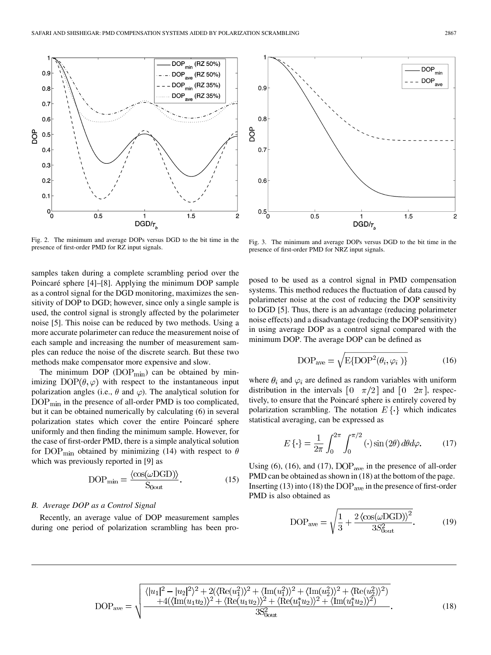

Fig. 2. The minimum and average DOPs versus DGD to the bit time in the presence of first-order PMD for RZ input signals.

samples taken during a complete scrambling period over the Poincaré sphere [4]–[8]. Applying the minimum DOP sample as a control signal for the DGD monitoring, maximizes the sensitivity of DOP to DGD; however, since only a single sample is used, the control signal is strongly affected by the polarimeter noise [5]. This noise can be reduced by two methods. Using a more accurate polarimeter can reduce the measurement noise of each sample and increasing the number of measurement samples can reduce the noise of the discrete search. But these two methods make compensator more expensive and slow.

The minimum DOP ( $\text{DOP}_{\text{min}}$ ) can be obtained by minimizing  $DOP(\theta, \varphi)$  with respect to the instantaneous input polarization angles (i.e.,  $\theta$  and  $\varphi$ ). The analytical solution for  $\text{DOP}_{\text{min}}$  in the presence of all-order PMD is too complicated, but it can be obtained numerically by calculating (6) in several polarization states which cover the entire Poincaré sphere uniformly and then finding the minimum sample. However, for the case of first-order PMD, there is a simple analytical solution for DOP<sub>min</sub> obtained by minimizing (14) with respect to  $\theta$ which was previously reported in [9] as

$$
DOP_{\min} = \frac{\langle \cos(\omega DGD) \rangle}{S_{\text{0out}}}.
$$
 (15)

## *B. Average DOP as a Control Signal*

Recently, an average value of DOP measurement samples during one period of polarization scrambling has been pro-



Fig. 3. The minimum and average DOPs versus DGD to the bit time in the presence of first-order PMD for NRZ input signals.

posed to be used as a control signal in PMD compensation systems. This method reduces the fluctuation of data caused by polarimeter noise at the cost of reducing the DOP sensitivity to DGD [5]. Thus, there is an advantage (reducing polarimeter noise effects) and a disadvantage (reducing the DOP sensitivity) in using average DOP as a control signal compared with the minimum DOP. The average DOP can be defined as

$$
DOP_{\text{ave}} = \sqrt{E\{DOP^2(\theta_i, \varphi_i)\}}
$$
 (16)

where  $\theta_i$  and  $\varphi_i$  are defined as random variables with uniform distribution in the intervals  $\begin{bmatrix} 0 & \pi/2 \end{bmatrix}$  and  $\begin{bmatrix} 0 & 2\pi \end{bmatrix}$ , respectively, to ensure that the Poincaré sphere is entirely covered by polarization scrambling. The notation  $E\{\cdot\}$  which indicates statistical averaging, can be expressed as

$$
E\left\{\cdot\right\} = \frac{1}{2\pi} \int_0^{2\pi} \int_0^{\pi/2} (\cdot) \sin\left(2\theta\right) d\theta d\varphi. \tag{17}
$$

Using (6), (16), and (17),  $\text{DOP}_{\text{ave}}$  in the presence of all-order PMD can be obtained as shown in (18) at the bottom of the page. Inserting (13) into (18) the  $\text{DOP}_{\text{ave}}$  in the presence of first-order PMD is also obtained as

$$
DOP_{\text{ave}} = \sqrt{\frac{1}{3} + \frac{2\left\langle \cos(\omega DGD) \right\rangle^2}{3S_{\text{out}}^2}}.
$$
 (19)

(18)

$$
DOP_{ave} = \sqrt{\frac{\langle |u_1|^2 - |u_2|^2 \rangle^2 + 2(\langle \text{Re}(u_1^2) \rangle^2 + \langle \text{Im}(u_1^2) \rangle^2 + \langle \text{Im}(u_2^2) \rangle^2 + \langle \text{Re}(u_2^2) \rangle^2)}{44(\langle \text{Im}(u_1 u_2) \rangle^2 + \langle \text{Re}(u_1 u_2) \rangle^2 + \langle \text{Re}(u_1^* u_2) \rangle^2 + \langle \text{Im}(u_1^* u_2) \rangle^2)}}
$$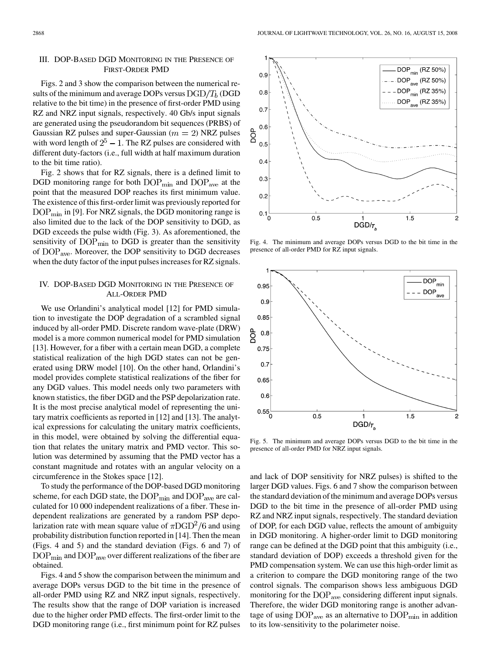## III. DOP-BASED DGD MONITORING IN THE PRESENCE OF FIRST-ORDER PMD

Figs. 2 and 3 show the comparison between the numerical results of the minimum and average DOPs versus  $DGD/T_b$  (DGD relative to the bit time) in the presence of first-order PMD using RZ and NRZ input signals, respectively. 40 Gb/s input signals are generated using the pseudorandom bit sequences (PRBS) of Gaussian RZ pulses and super-Gaussian ( $m = 2$ ) NRZ pulses with word length of  $2^5 - 1$ . The RZ pulses are considered with different duty-factors (i.e., full width at half maximum duration to the bit time ratio).

Fig. 2 shows that for RZ signals, there is a defined limit to DGD monitoring range for both  $\text{DOP}_{\text{min}}$  and  $\text{DOP}_{\text{ave}}$  at the point that the measured DOP reaches its first minimum value. The existence of this first-order limit was previously reported for  $DOP_{\text{min}}$  in [9]. For NRZ signals, the DGD monitoring range is also limited due to the lack of the DOP sensitivity to DGD, as DGD exceeds the pulse width (Fig. 3). As aforementioned, the sensitivity of  $\text{DOP}_{\text{min}}$  to DGD is greater than the sensitivity of  $\text{DOP}_{\text{ave}}$ . Moreover, the DOP sensitivity to DGD decreases when the duty factor of the input pulses increases for RZ signals.

### IV. DOP-BASED DGD MONITORING IN THE PRESENCE OF ALL-ORDER PMD

We use Orlandini's analytical model [12] for PMD simulation to investigate the DOP degradation of a scrambled signal induced by all-order PMD. Discrete random wave-plate (DRW) model is a more common numerical model for PMD simulation [13]. However, for a fiber with a certain mean DGD, a complete statistical realization of the high DGD states can not be generated using DRW model [10]. On the other hand, Orlandini's model provides complete statistical realizations of the fiber for any DGD values. This model needs only two parameters with known statistics, the fiber DGD and the PSP depolarization rate. It is the most precise analytical model of representing the unitary matrix coefficients as reported in [12] and [13]. The analytical expressions for calculating the unitary matrix coefficients, in this model, were obtained by solving the differential equation that relates the unitary matrix and PMD vector. This solution was determined by assuming that the PMD vector has a constant magnitude and rotates with an angular velocity on a circumference in the Stokes space [12].

To study the performance of the DOP-based DGD monitoring scheme, for each DGD state, the  $\text{DOP}_{\text{min}}$  and  $\text{DOP}_{\text{ave}}$  are calculated for 10 000 independent realizations of a fiber. These independent realizations are generated by a random PSP depolarization rate with mean square value of  $\pi$ DGD<sup>2</sup>/6 and using probability distribution function reported in [14]. Then the mean (Figs. 4 and 5) and the standard deviation (Figs. 6 and 7) of  $\text{DOP}_{\text{min}}$  and  $\text{DOP}_{\text{ave}}$  over different realizations of the fiber are obtained.

Figs. 4 and 5 show the comparison between the minimum and average DOPs versus DGD to the bit time in the presence of all-order PMD using RZ and NRZ input signals, respectively. The results show that the range of DOP variation is increased due to the higher order PMD effects. The first-order limit to the DGD monitoring range (i.e., first minimum point for RZ pulses

Fig. 4. The minimum and average DOPs versus DGD to the bit time in the presence of all-order PMD for RZ input signals.



Fig. 5. The minimum and average DOPs versus DGD to the bit time in the presence of all-order PMD for NRZ input signals.

and lack of DOP sensitivity for NRZ pulses) is shifted to the larger DGD values. Figs. 6 and 7 show the comparison between the standard deviation of the minimum and average DOPs versus DGD to the bit time in the presence of all-order PMD using RZ and NRZ input signals, respectively. The standard deviation of DOP, for each DGD value, reflects the amount of ambiguity in DGD monitoring. A higher-order limit to DGD monitoring range can be defined at the DGD point that this ambiguity (i.e., standard deviation of DOP) exceeds a threshold given for the PMD compensation system. We can use this high-order limit as a criterion to compare the DGD monitoring range of the two control signals. The comparison shows less ambiguous DGD monitoring for the  $\text{DOP}_{\text{ave}}$  considering different input signals. Therefore, the wider DGD monitoring range is another advantage of using  $\text{DOP}_{\text{ave}}$  as an alternative to  $\text{DOP}_{\text{min}}$  in addition to its low-sensitivity to the polarimeter noise.

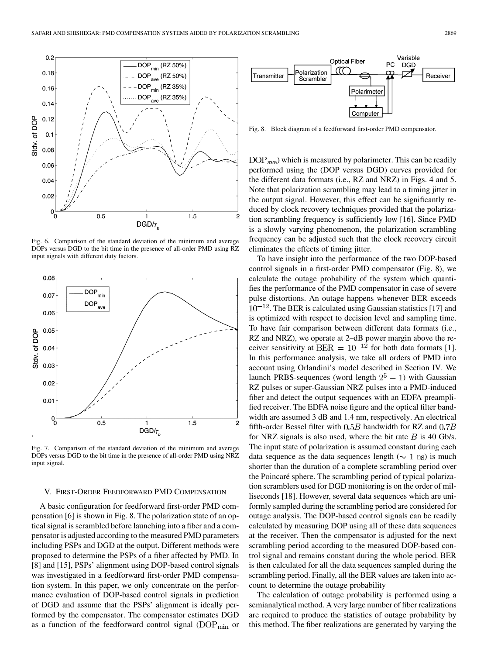

Fig. 6. Comparison of the standard deviation of the minimum and average DOPs versus DGD to the bit time in the presence of all-order PMD using RZ input signals with different duty factors.



Fig. 7. Comparison of the standard deviation of the minimum and average DOPs versus DGD to the bit time in the presence of all-order PMD using NRZ input signal.

#### V. FIRST-ORDER FEEDFORWARD PMD COMPENSATION

A basic configuration for feedforward first-order PMD compensation [6] is shown in Fig. 8. The polarization state of an optical signal is scrambled before launching into a fiber and a compensator is adjusted according to the measured PMD parameters including PSPs and DGD at the output. Different methods were proposed to determine the PSPs of a fiber affected by PMD. In [8] and [15], PSPs' alignment using DOP-based control signals was investigated in a feedforward first-order PMD compensation system. In this paper, we only concentrate on the performance evaluation of DOP-based control signals in prediction of DGD and assume that the PSPs' alignment is ideally performed by the compensator. The compensator estimates DGD as a function of the feedforward control signal  $(DOP_{min}$  or



Fig. 8. Block diagram of a feedforward first-order PMD compensator.

DOP<sub>ave</sub>) which is measured by polarimeter. This can be readily performed using the (DOP versus DGD) curves provided for the different data formats (i.e., RZ and NRZ) in Figs. 4 and 5. Note that polarization scrambling may lead to a timing jitter in the output signal. However, this effect can be significantly reduced by clock recovery techniques provided that the polarization scrambling frequency is sufficiently low [16]. Since PMD is a slowly varying phenomenon, the polarization scrambling frequency can be adjusted such that the clock recovery circuit eliminates the effects of timing jitter.

To have insight into the performance of the two DOP-based control signals in a first-order PMD compensator (Fig. 8), we calculate the outage probability of the system which quantifies the performance of the PMD compensator in case of severe pulse distortions. An outage happens whenever BER exceeds  $10^{-12}$ . The BER is calculated using Gaussian statistics [17] and is optimized with respect to decision level and sampling time. To have fair comparison between different data formats (i.e., RZ and NRZ), we operate at 2–dB power margin above the receiver sensitivity at  $BER = 10^{-12}$  for both data formats [1]. In this performance analysis, we take all orders of PMD into account using Orlandini's model described in Section IV. We launch PRBS-sequences (word length  $2^5 - 1$ ) with Gaussian RZ pulses or super-Gaussian NRZ pulses into a PMD-induced fiber and detect the output sequences with an EDFA preamplified receiver. The EDFA noise figure and the optical filter bandwidth are assumed 3 dB and 1.4 nm, respectively. An electrical fifth-order Bessel filter with  $0.5B$  bandwidth for RZ and  $0.7B$ for NRZ signals is also used, where the bit rate  $B$  is 40 Gb/s. The input state of polarization is assumed constant during each data sequence as the data sequences length ( $\sim 1$  ns) is much shorter than the duration of a complete scrambling period over the Poincaré sphere. The scrambling period of typical polarization scramblers used for DGD monitoring is on the order of milliseconds [18]. However, several data sequences which are uniformly sampled during the scrambling period are considered for outage analysis. The DOP-based control signals can be readily calculated by measuring DOP using all of these data sequences at the receiver. Then the compensator is adjusted for the next scrambling period according to the measured DOP-based control signal and remains constant during the whole period. BER is then calculated for all the data sequences sampled during the scrambling period. Finally, all the BER values are taken into account to determine the outage probability

The calculation of outage probability is performed using a semianalytical method. A very large number of fiber realizations are required to produce the statistics of outage probability by this method. The fiber realizations are generated by varying the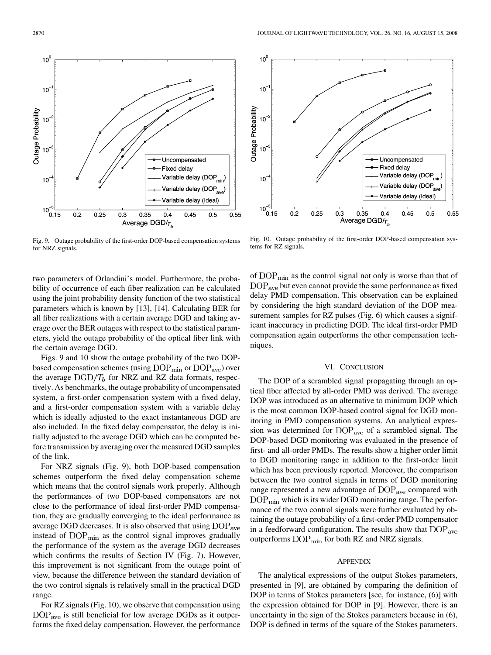two parameters of Orlandini's model. Furthermore, the probability of occurrence of each fiber realization can be calculated using the joint probability density function of the two statistical parameters which is known by [13], [14]. Calculating BER for all fiber realizations with a certain average DGD and taking average over the BER outages with respect to the statistical parameters, yield the outage probability of the optical fiber link with the certain average DGD.

Figs. 9 and 10 show the outage probability of the two DOPbased compensation schemes (using  $\text{DOP}_{\text{min}}$  or  $\text{DOP}_{\text{ave}}$ ) over the average  $\text{DGD}/T_b$  for NRZ and RZ data formats, respectively. As benchmarks, the outage probability of uncompensated system, a first-order compensation system with a fixed delay, and a first-order compensation system with a variable delay which is ideally adjusted to the exact instantaneous DGD are also included. In the fixed delay compensator, the delay is initially adjusted to the average DGD which can be computed before transmission by averaging over the measured DGD samples of the link.

For NRZ signals (Fig. 9), both DOP-based compensation schemes outperform the fixed delay compensation scheme which means that the control signals work properly. Although the performances of two DOP-based compensators are not close to the performance of ideal first-order PMD compensation, they are gradually converging to the ideal performance as average DGD decreases. It is also observed that using  $\text{DOP}_{\text{ave}}$ instead of  $\text{DOP}_{\text{min}}$  as the control signal improves gradually the performance of the system as the average DGD decreases which confirms the results of Section IV (Fig. 7). However, this improvement is not significant from the outage point of view, because the difference between the standard deviation of the two control signals is relatively small in the practical DGD range.

For RZ signals (Fig. 10), we observe that compensation using  $DOP<sub>ave</sub>$  is still beneficial for low average DGDs as it outperforms the fixed delay compensation. However, the performance

Fig. 10. Outage probability of the first-order DOP-based compensation systems for RZ signals.

of  $\text{DOP}_{\text{min}}$  as the control signal not only is worse than that of  $\text{DOP}_{\text{ave}}$  but even cannot provide the same performance as fixed delay PMD compensation. This observation can be explained by considering the high standard deviation of the DOP measurement samples for RZ pulses (Fig. 6) which causes a significant inaccuracy in predicting DGD. The ideal first-order PMD compensation again outperforms the other compensation techniques.

#### VI. CONCLUSION

The DOP of a scrambled signal propagating through an optical fiber affected by all-order PMD was derived. The average DOP was introduced as an alternative to minimum DOP which is the most common DOP-based control signal for DGD monitoring in PMD compensation systems. An analytical expression was determined for  $\text{DOP}_{\text{ave}}$  of a scrambled signal. The DOP-based DGD monitoring was evaluated in the presence of first- and all-order PMDs. The results show a higher order limit to DGD monitoring range in addition to the first-order limit which has been previously reported. Moreover, the comparison between the two control signals in terms of DGD monitoring range represented a new advantage of DOP<sub>ave</sub> compared with  $\rm{DOP_{min}}$  which is its wider DGD monitoring range. The performance of the two control signals were further evaluated by obtaining the outage probability of a first-order PMD compensator in a feedforward configuration. The results show that  $\text{DOP}_{\text{ave}}$ outperforms  $\text{DOP}_{\text{min}}$  for both RZ and NRZ signals.

#### **APPENDIX**

The analytical expressions of the output Stokes parameters, presented in [9], are obtained by comparing the definition of DOP in terms of Stokes parameters [see, for instance, (6)] with the expression obtained for DOP in [9]. However, there is an uncertainty in the sign of the Stokes parameters because in (6), DOP is defined in terms of the square of the Stokes parameters.



 $10<sup>6</sup>$  $10$ Outage Probability  $10<sup>7</sup>$  $10<sup>7</sup>$ Uncompensated **Fixed delay** Variable delay (DOP<sub>min</sub>  $10<sup>-</sup>$ Variable delay (DOP<sub>ave</sub>) Variable delay (Ideal)  $10^{-5}$   $-$ <br>0.15  $0.2$  $0.25$ 0.35  $0.45$ 0.55  $0.3$  $0.4$  $0.5$ Average DGD/ $\tau_{\kappa}$ 



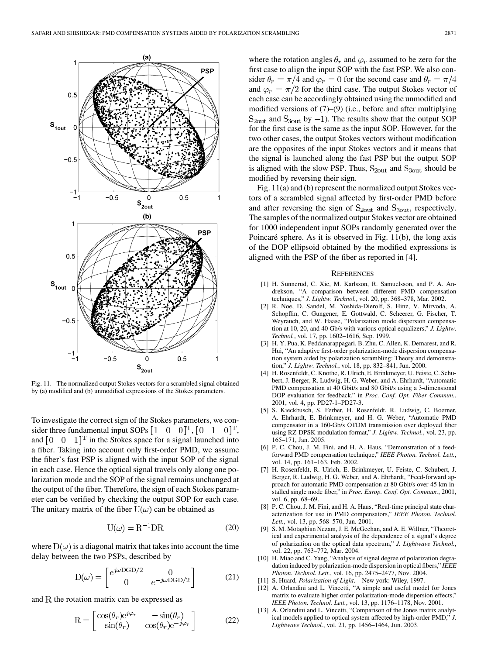

Fig. 11. The normalized output Stokes vectors for a scrambled signal obtained by (a) modified and (b) unmodified expressions of the Stokes parameters.

To investigate the correct sign of the Stokes parameters, we consider three fundamental input SOPs  $\begin{bmatrix} 1 & 0 & 0 \end{bmatrix}^T$ ,  $\begin{bmatrix} 0 & 1 & 0 \end{bmatrix}^T$ , and  $\begin{bmatrix} 0 & 0 & 1 \end{bmatrix}^T$  in the Stokes space for a signal launched into a fiber. Taking into account only first-order PMD, we assume the fiber's fast PSP is aligned with the input SOP of the signal in each case. Hence the optical signal travels only along one polarization mode and the SOP of the signal remains unchanged at the output of the fiber. Therefore, the sign of each Stokes parameter can be verified by checking the output SOP for each case. The unitary matrix of the fiber  $U(\omega)$  can be obtained as

$$
U(\omega) = R^{-1}DR \tag{20}
$$

where  $D(\omega)$  is a diagonal matrix that takes into account the time delay between the two PSPs, described by

$$
D(\omega) = \begin{bmatrix} e^{j\omega DGD/2} & 0\\ 0 & e^{-j\omega DGD/2} \end{bmatrix}
$$
 (21)

and  $R$  the rotation matrix can be expressed as

$$
R = \begin{bmatrix} \cos(\theta_r)e^{j\varphi_r} & -\sin(\theta_r) \\ \sin(\theta_r) & \cos(\theta_r)e^{-j\varphi_r} \end{bmatrix}
$$
 (22)

where the rotation angles  $\theta_r$  and  $\varphi_r$  assumed to be zero for the first case to align the input SOP with the fast PSP. We also consider  $\theta_r = \pi/4$  and  $\varphi_r = 0$  for the second case and  $\theta_r = \pi/4$ and  $\varphi_r = \pi/2$  for the third case. The output Stokes vector of each case can be accordingly obtained using the unmodified and modified versions of (7)–(9) (i.e., before and after multiplying  $S<sub>2out</sub>$  and  $S<sub>3out</sub>$  by  $-1$ ). The results show that the output SOP for the first case is the same as the input SOP. However, for the two other cases, the output Stokes vectors without modification are the opposites of the input Stokes vectors and it means that the signal is launched along the fast PSP but the output SOP is aligned with the slow PSP. Thus,  $S_{2out}$  and  $S_{3out}$  should be modified by reversing their sign.

Fig. 11(a) and (b) represent the normalized output Stokes vectors of a scrambled signal affected by first-order PMD before and after reversing the sign of  $S_{2out}$  and  $S_{3out}$ , respectively. The samples of the normalized output Stokes vector are obtained for 1000 independent input SOPs randomly generated over the Poincaré sphere. As it is observed in Fig. 11(b), the long axis of the DOP ellipsoid obtained by the modified expressions is aligned with the PSP of the fiber as reported in [4].

#### **REFERENCES**

- [1] H. Sunnerud, C. Xie, M. Karlsson, R. Samuelsson, and P. A. Andrekson, "A comparison between different PMD compensation techniques," *J. Lightw. Technol.*, vol. 20, pp. 368–378, Mar. 2002.
- [2] R. Noe, D. Sandel, M. Yoshida-Dierolf, S. Hinz, V. Mirvoda, A. Schopflin, C. Gungener, E. Gottwald, C. Scheerer, G. Fischer, T. Weyrauch, and W. Haase, "Polarization mode dispersion compensation at 10, 20, and 40 Gb/s with various optical equalizers," *J. Lightw. Technol.*, vol. 17, pp. 1602–1616, Sep. 1999.
- [3] H. Y. Pua, K. Peddanarappagari, B. Zhu, C. Allen, K. Demarest, and R. Hui, "An adaptive first-order polarization-mode dispersion compensation system aided by polarization scrambling: Theory and demonstration," *J. Lightw. Technol.*, vol. 18, pp. 832–841, Jun. 2000.
- [4] H. Rosenfeldt, C. Knothe, R. Ulrich, E. Brinkmeyer, U. Feiste, C. Schubert, J. Berger, R. Ludwig, H. G. Weber, and A. Ehrhardt, "Automatic PMD compensation at 40 Gbit/s and 80 Gbit/s using a 3-dimensional DOP evaluation for feedback," in *Proc. Conf. Opt. Fiber Commun.*, 2001, vol. 4, pp. PD27-1–PD27-3.
- [5] S. Kieckbusch, S. Ferber, H. Rosenfeldt, R. Ludwig, C. Boerner, A. Ehrhardt, E. Brinkmeyer, and H. G. Weber, "Automatic PMD compensator in a 160-Gb/s OTDM transmission over deployed fiber using RZ-DPSK modulation format," *J. Lightw. Technol.*, vol. 23, pp. 165–171, Jan. 2005.
- [6] P. C. Chou, J. M. Fini, and H. A. Haus, "Demonstration of a feedforward PMD compensation technique," *IEEE Photon. Technol. Lett.*, vol. 14, pp. 161–163, Feb. 2002.
- [7] H. Rosenfeldt, R. Ulrich, E. Brinkmeyer, U. Feiste, C. Schubert, J. Berger, R. Ludwig, H. G. Weber, and A. Ehrhardt, "Feed-forward approach for automatic PMD compensation at 80 Gbit/s over 45 km installed single mode fiber," in *Proc. Europ. Conf. Opt. Commun.*, 2001, vol. 6, pp. 68–69.
- [8] P. C. Chou, J. M. Fini, and H. A. Haus, "Real-time principal state characterization for use in PMD compensators," *IEEE Photon. Technol. Lett.*, vol. 13, pp. 568–570, Jun. 2001.
- [9] S. M. Motaghian Nezam, J. E. McGeehan, and A. E. Willner, "Theoretical and experimental analysis of the dependence of a signal's degree of polarization on the optical data spectrum," *J. Lightwave Technol.*, vol. 22, pp. 763–772, Mar. 2004.
- [10] H. Miao and C. Yang, "Analysis of signal degree of polarization degradation induced by polarization-mode dispersion in optical fibers," *IEEE Photon. Technol. Lett.*, vol. 16, pp. 2475–2477, Nov. 2004.
- [11] S. Huard*, Polarization of Light*. New york: Wiley, 1997.
- [12] A. Orlandini and L. Vincetti, "A simple and useful model for Jones matrix to evaluate higher order polarization-mode dispersion effects," *IEEE Photon. Technol. Lett.*, vol. 13, pp. 1176–1178, Nov. 2001.
- [13] A. Orlandini and L. Vincetti, "Comparison of the Jones matrix analytical models applied to optical system affected by high-order PMD," *J. Lightwave Technol.*, vol. 21, pp. 1456–1464, Jun. 2003.